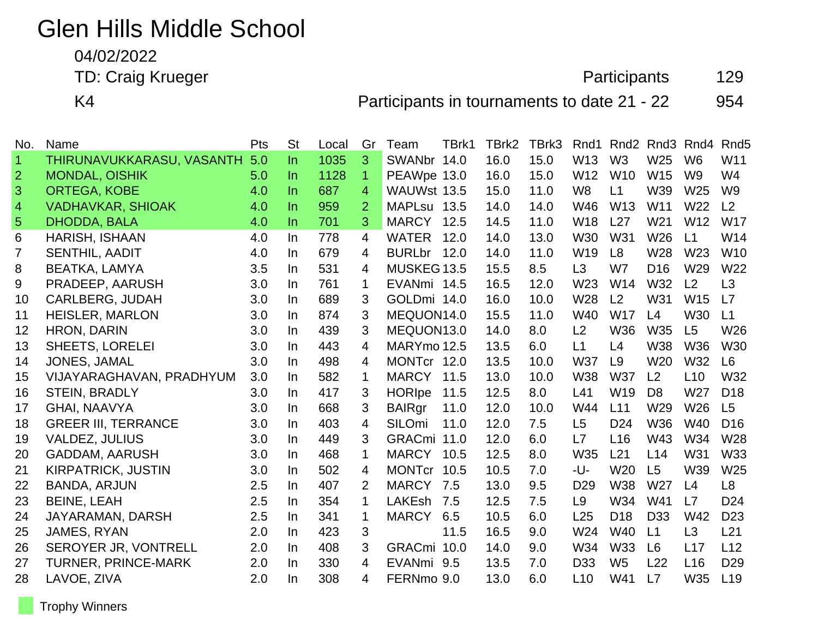# Glen Hills Middle School

04/02/2022

TD: Craig Krueger **Participants** 129

K4 **Participants in tournaments to date 21 - 22** 954

| No.            | Name                       | Pts | <b>St</b> | Local | Gr             | Team              | TBrk1 | TBrk2 | TBrk3 | Rnd1            | Rnd <sub>2</sub> |                 | Rnd <sub>3</sub> Rnd <sub>4</sub> | Rnd <sub>5</sub> |
|----------------|----------------------------|-----|-----------|-------|----------------|-------------------|-------|-------|-------|-----------------|------------------|-----------------|-----------------------------------|------------------|
| $\vert$ 1      | THIRUNAVUKKARASU, VASANTH  | 5.0 | In.       | 1035  | 3              | SWANbr 14.0       |       | 16.0  | 15.0  | W13             | W <sub>3</sub>   | W25             | W <sub>6</sub>                    | W11              |
| $\overline{2}$ | <b>MONDAL, OISHIK</b>      | 5.0 | In.       | 1128  | $\mathbf 1$    | PEAWpe 13.0       |       | 16.0  | 15.0  | W12             | W <sub>10</sub>  | W15             | W <sub>9</sub>                    | W4               |
| 3              | <b>ORTEGA, KOBE</b>        | 4.0 | In.       | 687   | 4              | WAUWst 13.5       |       | 15.0  | 11.0  | W <sub>8</sub>  | L1               | W39             | W <sub>25</sub>                   | W <sub>9</sub>   |
| $\overline{4}$ | <b>VADHAVKAR, SHIOAK</b>   | 4.0 | $\ln$     | 959   | $\overline{2}$ | MAPLsu 13.5       |       | 14.0  | 14.0  | W46             | W13              | W11             | W22                               | L2               |
| $\overline{5}$ | <b>DHODDA, BALA</b>        | 4.0 | In.       | 701   | 3              | MARCY 12.5        |       | 14.5  | 11.0  | W <sub>18</sub> | L27              | W21             | W <sub>12</sub>                   | <b>W17</b>       |
| 6              | HARISH, ISHAAN             | 4.0 | In.       | 778   | 4              | <b>WATER</b>      | 12.0  | 14.0  | 13.0  | <b>W30</b>      | W31              | W26             | L1                                | W14              |
| 7              | SENTHIL, AADIT             | 4.0 | In        | 679   | 4              | BURLbr 12.0       |       | 14.0  | 11.0  | W <sub>19</sub> | L <sub>8</sub>   | W28             | W <sub>23</sub>                   | W <sub>10</sub>  |
| 8              | BEATKA, LAMYA              | 3.5 | In        | 531   | 4              | MUSKEG 13.5       |       | 15.5  | 8.5   | L3              | W7               | D <sub>16</sub> | W29                               | W22              |
| 9              | PRADEEP, AARUSH            | 3.0 | In.       | 761   | 1              | EVANmi 14.5       |       | 16.5  | 12.0  | W <sub>23</sub> | W14              | <b>W32</b>      | L2                                | L3               |
| 10             | <b>CARLBERG, JUDAH</b>     | 3.0 | In.       | 689   | 3              | GOLDmi 14.0       |       | 16.0  | 10.0  | W28             | L2               | W31             | <b>W15</b>                        | L7               |
| 11             | <b>HEISLER, MARLON</b>     | 3.0 | In.       | 874   | 3              | MEQUON14.0        |       | 15.5  | 11.0  | W40             | <b>W17</b>       | L4              | <b>W30</b>                        | L1               |
| 12             | <b>HRON, DARIN</b>         | 3.0 | In        | 439   | 3              | MEQUON13.0        |       | 14.0  | 8.0   | L2              | <b>W36</b>       | W35             | L5                                | W26              |
| 13             | <b>SHEETS, LORELEI</b>     | 3.0 | In.       | 443   | 4              | MARYmo 12.5       |       | 13.5  | 6.0   | L1              | L4               | <b>W38</b>      | <b>W36</b>                        | W30              |
| 14             | JONES, JAMAL               | 3.0 | In        | 498   | 4              | MONTcr 12.0       |       | 13.5  | 10.0  | <b>W37</b>      | L9               | W <sub>20</sub> | W32                               | L <sub>6</sub>   |
| 15             | VIJAYARAGHAVAN, PRADHYUM   | 3.0 | In.       | 582   | $\mathbf 1$    | <b>MARCY 11.5</b> |       | 13.0  | 10.0  | <b>W38</b>      | <b>W37</b>       | L <sub>2</sub>  | L10                               | W32              |
| 16             | <b>STEIN, BRADLY</b>       | 3.0 | In        | 417   | 3              | <b>HORIpe</b>     | 11.5  | 12.5  | 8.0   | L41             | W19              | D <sub>8</sub>  | W27                               | D <sub>18</sub>  |
| 17             | <b>GHAI, NAAVYA</b>        | 3.0 | In        | 668   | 3              | <b>BAIRgr</b>     | 11.0  | 12.0  | 10.0  | W44             | L11              | W29             | W <sub>26</sub>                   | L5               |
| 18             | <b>GREER III, TERRANCE</b> | 3.0 | In.       | 403   | 4              | <b>SILOmi</b>     | 11.0  | 12.0  | 7.5   | L <sub>5</sub>  | D <sub>24</sub>  | <b>W36</b>      | W40                               | D <sub>16</sub>  |
| 19             | <b>VALDEZ, JULIUS</b>      | 3.0 | In.       | 449   | 3              | GRACmi 11.0       |       | 12.0  | 6.0   | L7              | L16              | W43             | W34                               | W28              |
| 20             | <b>GADDAM, AARUSH</b>      | 3.0 | In        | 468   | 1              | <b>MARCY</b>      | 10.5  | 12.5  | 8.0   | W35             | L21              | L14             | W31                               | W33              |
| 21             | <b>KIRPATRICK, JUSTIN</b>  | 3.0 | In        | 502   | 4              | MONTcr 10.5       |       | 10.5  | 7.0   | -U-             | W20              | L5              | W39                               | W25              |
| 22             | <b>BANDA, ARJUN</b>        | 2.5 | In.       | 407   | 2              | <b>MARCY</b>      | 7.5   | 13.0  | 9.5   | D <sub>29</sub> | <b>W38</b>       | W27             | L4                                | L <sub>8</sub>   |
| 23             | <b>BEINE, LEAH</b>         | 2.5 | In        | 354   | 1              | LAKEsh 7.5        |       | 12.5  | 7.5   | L <sub>9</sub>  | W34              | W41             | L7                                | D <sub>24</sub>  |
| 24             | JAYARAMAN, DARSH           | 2.5 | In        | 341   | $\mathbf 1$    | <b>MARCY</b>      | 6.5   | 10.5  | 6.0   | L25             | D <sub>18</sub>  | D <sub>33</sub> | W42                               | D <sub>23</sub>  |
| 25             | JAMES, RYAN                | 2.0 | In        | 423   | 3              |                   | 11.5  | 16.5  | 9.0   | W24             | W40              | L1              | L3                                | L21              |
| 26             | SEROYER JR, VONTRELL       | 2.0 | In.       | 408   | 3              | GRACmi 10.0       |       | 14.0  | 9.0   | W34             | <b>W33</b>       | L <sub>6</sub>  | L17                               | L12              |
| 27             | <b>TURNER, PRINCE-MARK</b> | 2.0 | In        | 330   | 4              | EVANmi 9.5        |       | 13.5  | 7.0   | D <sub>33</sub> | W <sub>5</sub>   | L22             | L16                               | D <sub>29</sub>  |
| 28             | LAVOE, ZIVA                | 2.0 | In        | 308   | 4              | FERNmo 9.0        |       | 13.0  | 6.0   | L10             | W41              | L7              | W35                               | L19              |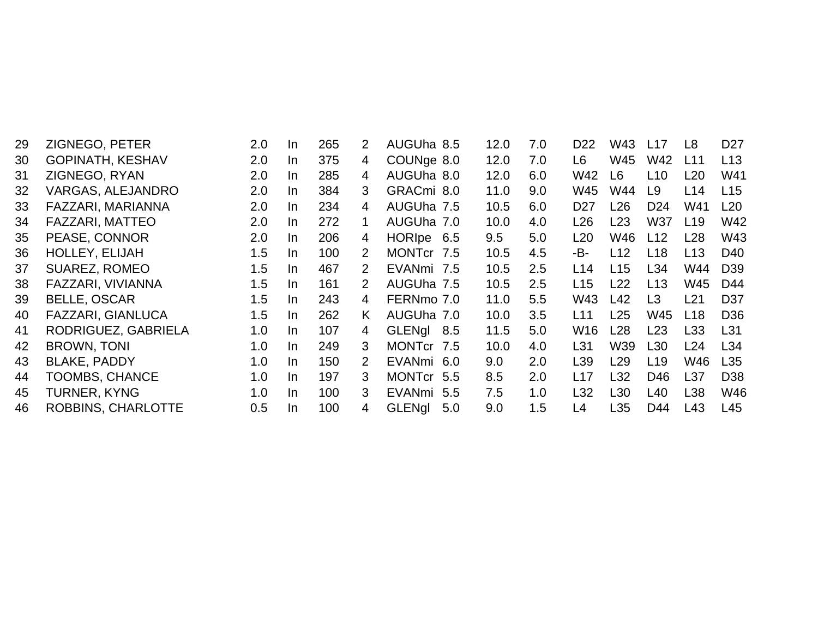| 29 | ZIGNEGO, PETER            | 2.0 | <b>In</b> | 265 | 2              | AUGUha 8.5           | 12.0 | 7.0 | D <sub>22</sub> | W43             | L17             | L8              | D <sub>27</sub> |
|----|---------------------------|-----|-----------|-----|----------------|----------------------|------|-----|-----------------|-----------------|-----------------|-----------------|-----------------|
| 30 | <b>GOPINATH, KESHAV</b>   | 2.0 | In        | 375 | $\overline{4}$ | COUNge 8.0           | 12.0 | 7.0 | L <sub>6</sub>  | W45             | W42             | L11             | L13             |
| 31 | ZIGNEGO, RYAN             | 2.0 | $\ln$     | 285 | 4              | AUGUha 8.0           | 12.0 | 6.0 | W42             | L <sub>6</sub>  | L10             | L20             | W41             |
| 32 | <b>VARGAS, ALEJANDRO</b>  | 2.0 | In.       | 384 | 3              | GRACmi 8.0           | 11.0 | 9.0 | W45             | W44             | L <sub>9</sub>  | L14             | L15             |
| 33 | FAZZARI, MARIANNA         | 2.0 | In.       | 234 | 4              | AUGUha 7.5           | 10.5 | 6.0 | D <sub>27</sub> | L26             | D <sub>24</sub> | W41             | L20             |
| 34 | <b>FAZZARI, MATTEO</b>    | 2.0 | In.       | 272 | 1.             | AUGUha 7.0           | 10.0 | 4.0 | L26             | L23             | <b>W37</b>      | L19             | W42             |
| 35 | PEASE, CONNOR             | 2.0 | $\ln$     | 206 | 4              | HORIpe 6.5           | 9.5  | 5.0 | L20             | W46             | L12             | L28             | W43             |
| 36 | <b>HOLLEY, ELIJAH</b>     | 1.5 | $\ln$     | 100 | 2              | MONTcr 7.5           | 10.5 | 4.5 | -B-             | L12             | L <sub>18</sub> | L <sub>13</sub> | D <sub>40</sub> |
| 37 | <b>SUAREZ, ROMEO</b>      | 1.5 | $\ln$     | 467 | 2              | EVANmi 7.5           | 10.5 | 2.5 | L14             | L15             | L34             | W44             | D <sub>39</sub> |
| 38 | FAZZARI, VIVIANNA         | 1.5 | $\ln$     | 161 | 2              | AUGUha 7.5           | 10.5 | 2.5 | L15             | L22             | L13             | W45             | D44             |
| 39 | <b>BELLE, OSCAR</b>       | 1.5 | In        | 243 | 4              | FERNmo 7.0           | 11.0 | 5.5 | W43             | L42             | L <sub>3</sub>  | L21             | D <sub>37</sub> |
| 40 | <b>FAZZARI, GIANLUCA</b>  | 1.5 | In        | 262 | K.             | AUGUha 7.0           | 10.0 | 3.5 | L11             | L25             | W45             | L <sub>18</sub> | D <sub>36</sub> |
| 41 | RODRIGUEZ, GABRIELA       | 1.0 | $\ln$     | 107 | 4              | GLENgl 8.5           | 11.5 | 5.0 | W <sub>16</sub> | L28             | L23             | L33             | L31             |
| 42 | <b>BROWN, TONI</b>        | 1.0 | In        | 249 | 3              | MONTcr 7.5           | 10.0 | 4.0 | L31             | W39             | L <sub>30</sub> | L24             | L34             |
| 43 | <b>BLAKE, PADDY</b>       | 1.0 | $\ln$     | 150 | 2              | EVANmi 6.0           | 9.0  | 2.0 | L <sub>39</sub> | L29             | L <sub>19</sub> | W46             | L35             |
| 44 | <b>TOOMBS, CHANCE</b>     | 1.0 | $\ln$     | 197 | 3              | MONTcr 5.5           | 8.5  | 2.0 | L17             | L32             | D46             | L <sub>37</sub> | D <sub>38</sub> |
| 45 | <b>TURNER, KYNG</b>       | 1.0 | $\ln$     | 100 | 3              | <b>EVANmi</b><br>5.5 | 7.5  | 1.0 | L32             | L30             | L40             | L38             | W46             |
| 46 | <b>ROBBINS, CHARLOTTE</b> | 0.5 | $\ln$     | 100 | 4              | <b>GLENgl</b><br>5.0 | 9.0  | 1.5 | L4              | L <sub>35</sub> | D44             | L43             | L45             |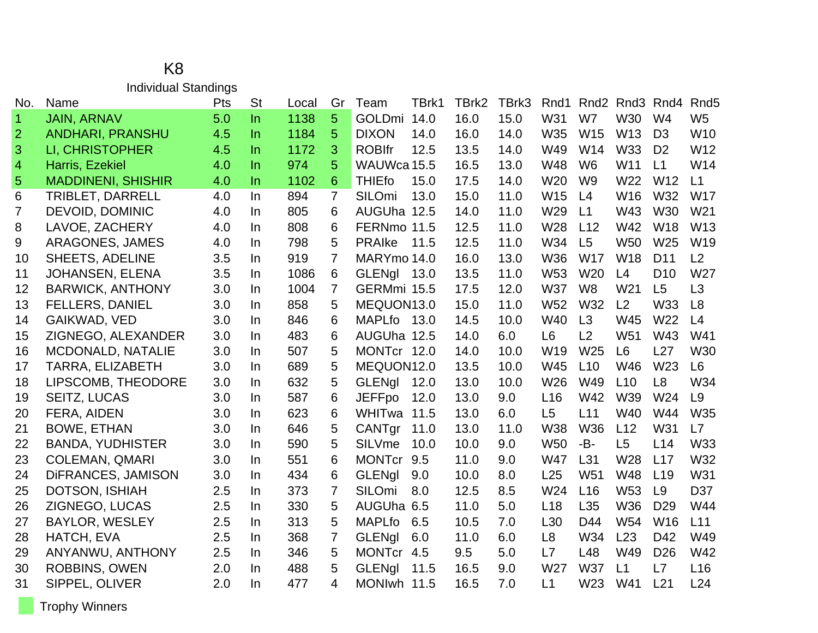|                | Individual Standings      |            |           |       |                |               |       |       |       |                 |                 |                                   |                 |                  |
|----------------|---------------------------|------------|-----------|-------|----------------|---------------|-------|-------|-------|-----------------|-----------------|-----------------------------------|-----------------|------------------|
| No.            | <b>Name</b>               | <b>Pts</b> | <b>St</b> | Local | Gr             | Team          | TBrk1 | TBrk2 | TBrk3 | Rnd1            |                 | Rnd <sub>2</sub> Rnd <sub>3</sub> | Rnd4            | Rnd <sub>5</sub> |
| $\mathbf{1}$   | <b>JAIN, ARNAV</b>        | 5.0        | $\ln$     | 1138  | 5              | GOLDmi        | 14.0  | 16.0  | 15.0  | W31             | W7              | W30                               | W <sub>4</sub>  | W <sub>5</sub>   |
| $\overline{2}$ | <b>ANDHARI, PRANSHU</b>   | 4.5        | $\ln$     | 1184  | 5              | <b>DIXON</b>  | 14.0  | 16.0  | 14.0  | W35             | W15             | W13                               | D <sub>3</sub>  | W <sub>10</sub>  |
| 3              | LI, CHRISTOPHER           | 4.5        | <b>In</b> | 1172  | 3              | <b>ROBIfr</b> | 12.5  | 13.5  | 14.0  | W49             | W14             | <b>W33</b>                        | D <sub>2</sub>  | W12              |
| 4              | Harris, Ezekiel           | 4.0        | $\ln$     | 974   | 5              | WAUWca 15.5   |       | 16.5  | 13.0  | <b>W48</b>      | W <sub>6</sub>  | W11                               | L1              | W14              |
| 5              | <b>MADDINENI, SHISHIR</b> | 4.0        | $\ln$     | 1102  | 6              | <b>THIEfo</b> | 15.0  | 17.5  | 14.0  | W <sub>20</sub> | W <sub>9</sub>  | W22                               | W12             | L1               |
| 6              | <b>TRIBLET, DARRELL</b>   | 4.0        | In        | 894   | $\overline{7}$ | SILOmi        | 13.0  | 15.0  | 11.0  | W15             | L4              | W16                               | W32             | <b>W17</b>       |
| $\overline{7}$ | <b>DEVOID, DOMINIC</b>    | 4.0        | In        | 805   | 6              | AUGUha 12.5   |       | 14.0  | 11.0  | W29             | L1              | W43                               | <b>W30</b>      | W <sub>21</sub>  |
| 8              | LAVOE, ZACHERY            | 4.0        | $\ln$     | 808   | 6              | FERNmo 11.5   |       | 12.5  | 11.0  | W28             | L12             | W42                               | W18             | W13              |
| 9              | ARAGONES, JAMES           | 4.0        | In        | 798   | 5              | <b>PRAIke</b> | 11.5  | 12.5  | 11.0  | W34             | L <sub>5</sub>  | <b>W50</b>                        | W25             | W19              |
| 10             | <b>SHEETS, ADELINE</b>    | 3.5        | <b>In</b> | 919   | $\overline{7}$ | MARYmo 14.0   |       | 16.0  | 13.0  | <b>W36</b>      | <b>W17</b>      | <b>W18</b>                        | D <sub>11</sub> | L2               |
| 11             | <b>JOHANSEN, ELENA</b>    | 3.5        | In        | 1086  | 6              | <b>GLENgl</b> | 13.0  | 13.5  | 11.0  | W <sub>53</sub> | W20             | L4                                | D <sub>10</sub> | W27              |
| 12             | <b>BARWICK, ANTHONY</b>   | 3.0        | In        | 1004  | $\overline{7}$ | GERMmi 15.5   |       | 17.5  | 12.0  | <b>W37</b>      | W <sub>8</sub>  | W <sub>21</sub>                   | L5              | L3               |
| 13             | <b>FELLERS, DANIEL</b>    | 3.0        | In.       | 858   | 5              | MEQUON13.0    |       | 15.0  | 11.0  | W <sub>52</sub> | W32             | L2                                | W33             | L8               |
| 14             | GAIKWAD, VED              | 3.0        | In        | 846   | 6              | <b>MAPLfo</b> | 13.0  | 14.5  | 10.0  | W40             | L3              | W45                               | W22             | L4               |
| 15             | ZIGNEGO, ALEXANDER        | 3.0        | $\ln$     | 483   | 6              | AUGUha 12.5   |       | 14.0  | 6.0   | L <sub>6</sub>  | L2              | W <sub>51</sub>                   | W43             | W41              |
| 16             | <b>MCDONALD, NATALIE</b>  | 3.0        | In.       | 507   | 5              | MONTcr 12.0   |       | 14.0  | 10.0  | W19             | W25             | L <sub>6</sub>                    | L27             | W30              |
| 17             | <b>TARRA, ELIZABETH</b>   | 3.0        | In        | 689   | 5              | MEQUON12.0    |       | 13.5  | 10.0  | W45             | L10             | W46                               | W23             | L <sub>6</sub>   |
| 18             | LIPSCOMB, THEODORE        | 3.0        | In        | 632   | 5              | <b>GLENgl</b> | 12.0  | 13.0  | 10.0  | W26             | W49             | L10                               | L8              | W34              |
| 19             | <b>SEITZ, LUCAS</b>       | 3.0        | In        | 587   | 6              | <b>JEFFpo</b> | 12.0  | 13.0  | 9.0   | L <sub>16</sub> | W42             | W39                               | W24             | L <sub>9</sub>   |
| 20             | FERA, AIDEN               | 3.0        | In.       | 623   | 6              | WHITwa        | 11.5  | 13.0  | 6.0   | L5              | L11             | W40                               | W44             | W35              |
| 21             | <b>BOWE, ETHAN</b>        | 3.0        | In        | 646   | 5              | CANTgr        | 11.0  | 13.0  | 11.0  | <b>W38</b>      | <b>W36</b>      | L12                               | W31             | L7               |
| 22             | <b>BANDA, YUDHISTER</b>   | 3.0        | In.       | 590   | 5              | <b>SILVme</b> | 10.0  | 10.0  | 9.0   | <b>W50</b>      | -B-             | L5                                | L14             | W33              |
| 23             | <b>COLEMAN, QMARI</b>     | 3.0        | In        | 551   | 6              | <b>MONTcr</b> | 9.5   | 11.0  | 9.0   | <b>W47</b>      | L31             | W28                               | L17             | W32              |
| 24             | DIFRANCES, JAMISON        | 3.0        | In        | 434   | 6              | <b>GLENgl</b> | 9.0   | 10.0  | 8.0   | L25             | W <sub>51</sub> | W48                               | L19             | <b>W31</b>       |
| 25             | <b>DOTSON, ISHIAH</b>     | 2.5        | In        | 373   | 7              | <b>SILOmi</b> | 8.0   | 12.5  | 8.5   | W24             | L16             | W <sub>53</sub>                   | L9              | D37              |
| 26             | ZIGNEGO, LUCAS            | 2.5        | In        | 330   | 5              | AUGUha 6.5    |       | 11.0  | 5.0   | L18             | L <sub>35</sub> | W36                               | D <sub>29</sub> | W44              |
| 27             | <b>BAYLOR, WESLEY</b>     | 2.5        | In.       | 313   | 5              | <b>MAPLfo</b> | 6.5   | 10.5  | 7.0   | L30             | D44             | W <sub>54</sub>                   | W16             | L11              |
| 28             | HATCH, EVA                | 2.5        | $\ln$     | 368   | $\overline{7}$ | <b>GLENgl</b> | 6.0   | 11.0  | 6.0   | L <sub>8</sub>  | W34             | L23                               | D42             | W49              |
| 29             | ANYANWU, ANTHONY          | 2.5        | In        | 346   | 5              | <b>MONTcr</b> | 4.5   | 9.5   | 5.0   | L7              | L48             | W49                               | D <sub>26</sub> | W42              |
| 30             | <b>ROBBINS, OWEN</b>      | 2.0        | In        | 488   | 5              | <b>GLENgl</b> | 11.5  | 16.5  | 9.0   | W27             | <b>W37</b>      | L1                                | L7              | L16              |
| 31             | SIPPEL, OLIVER            | 2.0        | In        | 477   | 4              | <b>MONIwh</b> | 11.5  | 16.5  | 7.0   | L1              | W <sub>23</sub> | W41                               | L21             | L24              |

#### K8 Individual Standings

Trophy Winners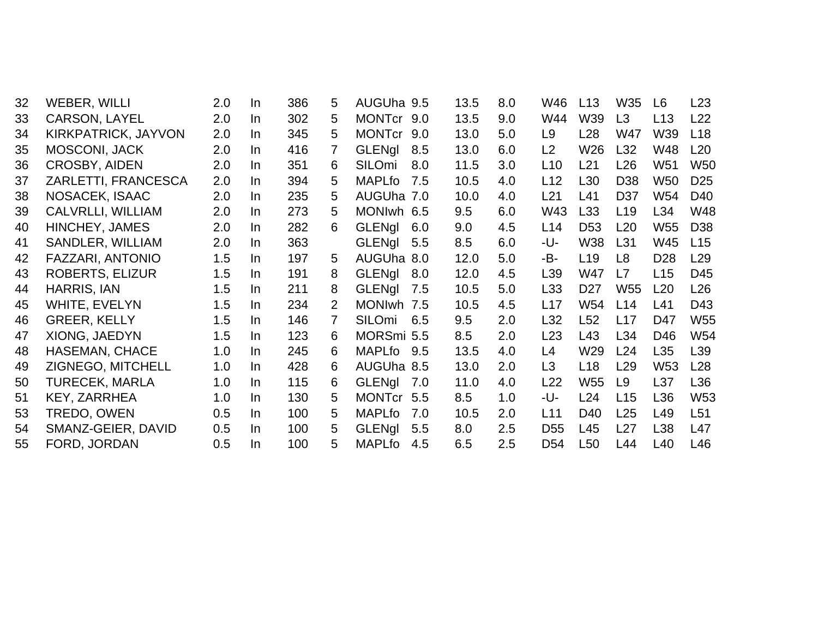| 32 | WEBER, WILLI             | 2.0 | In  | 386 | 5              | AUGUha 9.5    |     | 13.5 | 8.0 | W46             | L13             | W35             | L <sub>6</sub>  | L23             |
|----|--------------------------|-----|-----|-----|----------------|---------------|-----|------|-----|-----------------|-----------------|-----------------|-----------------|-----------------|
| 33 | CARSON, LAYEL            | 2.0 | In  | 302 | 5              | <b>MONTcr</b> | 9.0 | 13.5 | 9.0 | W44             | W39             | L3              | L13             | L22             |
| 34 | KIRKPATRICK, JAYVON      | 2.0 | In  | 345 | 5              | <b>MONTcr</b> | 9.0 | 13.0 | 5.0 | L <sub>9</sub>  | L <sub>28</sub> | W47             | W39             | L <sub>18</sub> |
| 35 | <b>MOSCONI, JACK</b>     | 2.0 | In  | 416 | 7              | GLENgl        | 8.5 | 13.0 | 6.0 | L2              | W26             | L32             | <b>W48</b>      | L20             |
| 36 | <b>CROSBY, AIDEN</b>     | 2.0 | In. | 351 | 6              | SILOmi        | 8.0 | 11.5 | 3.0 | L10             | L21             | L <sub>26</sub> | W <sub>51</sub> | <b>W50</b>      |
| 37 | ZARLETTI, FRANCESCA      | 2.0 | In  | 394 | 5              | <b>MAPLfo</b> | 7.5 | 10.5 | 4.0 | L12             | L <sub>30</sub> | D <sub>38</sub> | <b>W50</b>      | D <sub>25</sub> |
| 38 | NOSACEK, ISAAC           | 2.0 | In  | 235 | 5              | AUGUha 7.0    |     | 10.0 | 4.0 | L21             | L41             | D37             | W54             | D40             |
| 39 | <b>CALVRLLI, WILLIAM</b> | 2.0 | In  | 273 | 5              | MONIwh 6.5    |     | 9.5  | 6.0 | W43             | L33             | L <sub>19</sub> | L34             | W48             |
| 40 | HINCHEY, JAMES           | 2.0 | In  | 282 | 6              | <b>GLENgl</b> | 6.0 | 9.0  | 4.5 | L14             | D <sub>53</sub> | L20             | W <sub>55</sub> | D <sub>38</sub> |
| 41 | SANDLER, WILLIAM         | 2.0 | In  | 363 |                | <b>GLENgl</b> | 5.5 | 8.5  | 6.0 | -U-             | <b>W38</b>      | L31             | W45             | L15             |
| 42 | FAZZARI, ANTONIO         | 1.5 | In  | 197 | 5              | AUGUha 8.0    |     | 12.0 | 5.0 | -B-             | L <sub>19</sub> | L8              | D <sub>28</sub> | L29             |
| 43 | <b>ROBERTS, ELIZUR</b>   | 1.5 | In  | 191 | 8              | <b>GLENgl</b> | 8.0 | 12.0 | 4.5 | L39             | W47             | L7              | L15             | D45             |
| 44 | <b>HARRIS, IAN</b>       | 1.5 | In  | 211 | 8              | <b>GLENgl</b> | 7.5 | 10.5 | 5.0 | L33             | D <sub>27</sub> | W <sub>55</sub> | L20             | L26             |
| 45 | WHITE, EVELYN            | 1.5 | In  | 234 | $\overline{2}$ | MONIwh 7.5    |     | 10.5 | 4.5 | L17             | W54             | L14             | L41             | D43             |
| 46 | <b>GREER, KELLY</b>      | 1.5 | In  | 146 | 7              | <b>SILOmi</b> | 6.5 | 9.5  | 2.0 | L32             | L <sub>52</sub> | L17             | D47             | W <sub>55</sub> |
| 47 | XIONG, JAEDYN            | 1.5 | In  | 123 | 6              | MORSmi 5.5    |     | 8.5  | 2.0 | L23             | L43             | L34             | D46             | W54             |
| 48 | <b>HASEMAN, CHACE</b>    | 1.0 | In  | 245 | 6              | MAPLfo        | 9.5 | 13.5 | 4.0 | L4              | W29             | L24             | L35             | L39             |
| 49 | ZIGNEGO, MITCHELL        | 1.0 | In  | 428 | 6              | AUGUha 8.5    |     | 13.0 | 2.0 | L <sub>3</sub>  | L <sub>18</sub> | L <sub>29</sub> | W <sub>53</sub> | L28             |
| 50 | <b>TURECEK, MARLA</b>    | 1.0 | In  | 115 | 6              | <b>GLENgl</b> | 7.0 | 11.0 | 4.0 | L22             | W <sub>55</sub> | L9              | L37             | L36             |
| 51 | KEY, ZARRHEA             | 1.0 | In. | 130 | 5              | <b>MONTcr</b> | 5.5 | 8.5  | 1.0 | -U-             | L24             | L15             | L36             | W <sub>53</sub> |
| 53 | TREDO, OWEN              | 0.5 | In. | 100 | 5              | <b>MAPLfo</b> | 7.0 | 10.5 | 2.0 | L11             | D40             | L25             | L49             | L51             |
| 54 | SMANZ-GEIER, DAVID       | 0.5 | In. | 100 | 5              | <b>GLENgl</b> | 5.5 | 8.0  | 2.5 | D <sub>55</sub> | L45             | L27             | L38             | L47             |
| 55 | FORD, JORDAN             | 0.5 | In. | 100 | 5              | <b>MAPLfo</b> | 4.5 | 6.5  | 2.5 | D <sub>54</sub> | L <sub>50</sub> | L44             | L40             | L46             |
|    |                          |     |     |     |                |               |     |      |     |                 |                 |                 |                 |                 |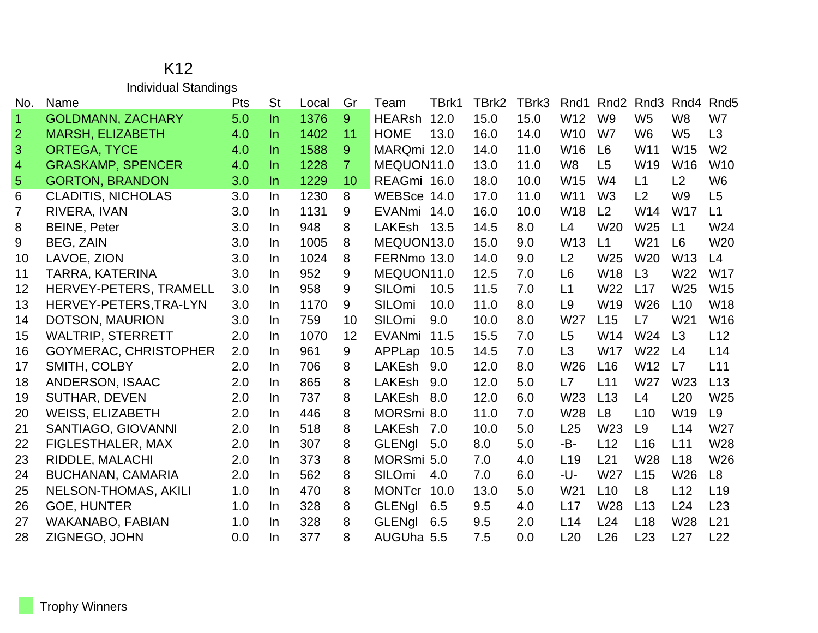### K12 Individual Standings

| No.            | Name                         | Pts | <b>St</b> | Local | Gr             | Team          | TBrk1 | TBrk2 | TBrk3 | Rnd1            | Rnd <sub>2</sub> | Rnd <sub>3</sub> | Rnd4            | Rnd <sub>5</sub> |
|----------------|------------------------------|-----|-----------|-------|----------------|---------------|-------|-------|-------|-----------------|------------------|------------------|-----------------|------------------|
| $\vert$ 1      | <b>GOLDMANN, ZACHARY</b>     | 5.0 | $\ln$     | 1376  | 9              | <b>HEARsh</b> | 12.0  | 15.0  | 15.0  | W <sub>12</sub> | W <sub>9</sub>   | W <sub>5</sub>   | W <sub>8</sub>  | W7               |
| $\overline{2}$ | <b>MARSH, ELIZABETH</b>      | 4.0 | $\ln$     | 1402  | 11             | <b>HOME</b>   | 13.0  | 16.0  | 14.0  | W <sub>10</sub> | W7               | W <sub>6</sub>   | W <sub>5</sub>  | L <sub>3</sub>   |
| 3              | <b>ORTEGA, TYCE</b>          | 4.0 | In.       | 1588  | 9              | MARQmi 12.0   |       | 14.0  | 11.0  | W16             | L <sub>6</sub>   | W <sub>11</sub>  | W15             | W <sub>2</sub>   |
| $\overline{4}$ | <b>GRASKAMP, SPENCER</b>     | 4.0 | In.       | 1228  | $\overline{7}$ | MEQUON11.0    |       | 13.0  | 11.0  | W <sub>8</sub>  | L5               | W19              | W16             | W <sub>10</sub>  |
| 5              | <b>GORTON, BRANDON</b>       | 3.0 | In.       | 1229  | 10             | REAGmi 16.0   |       | 18.0  | 10.0  | W15             | W <sub>4</sub>   | L1               | L2              | W <sub>6</sub>   |
| 6              | <b>CLADITIS, NICHOLAS</b>    | 3.0 | In.       | 1230  | 8              | WEBSce 14.0   |       | 17.0  | 11.0  | W <sub>11</sub> | W <sub>3</sub>   | L2               | W <sub>9</sub>  | L <sub>5</sub>   |
| $\overline{7}$ | RIVERA, IVAN                 | 3.0 | In.       | 1131  | 9              | EVANmi 14.0   |       | 16.0  | 10.0  | W18             | L <sub>2</sub>   | W <sub>14</sub>  | W <sub>17</sub> | L1               |
| 8              | <b>BEINE, Peter</b>          | 3.0 | In.       | 948   | 8              | LAKEsh 13.5   |       | 14.5  | 8.0   | L4              | W20              | W25              | L1              | W24              |
| 9              | <b>BEG. ZAIN</b>             | 3.0 | In.       | 1005  | 8              | MEQUON13.0    |       | 15.0  | 9.0   | W <sub>13</sub> | L1               | W <sub>21</sub>  | L <sub>6</sub>  | W <sub>20</sub>  |
| 10             | LAVOE, ZION                  | 3.0 | In.       | 1024  | 8              | FERNmo 13.0   |       | 14.0  | 9.0   | L2              | W <sub>25</sub>  | W <sub>20</sub>  | W <sub>13</sub> | L4               |
| 11             | <b>TARRA, KATERINA</b>       | 3.0 | In.       | 952   | 9              | MEQUON11.0    |       | 12.5  | 7.0   | L <sub>6</sub>  | <b>W18</b>       | L3               | W22             | <b>W17</b>       |
| 12             | HERVEY-PETERS, TRAMELL       | 3.0 | In.       | 958   | 9              | <b>SILOmi</b> | 10.5  | 11.5  | 7.0   | L1              | W22              | L17              | W25             | W15              |
| 13             | HERVEY-PETERS, TRA-LYN       | 3.0 | In.       | 1170  | 9              | SILOmi        | 10.0  | 11.0  | 8.0   | L <sub>9</sub>  | W19              | W <sub>26</sub>  | L10             | W18              |
| 14             | DOTSON, MAURION              | 3.0 | In.       | 759   | 10             | SILOmi        | 9.0   | 10.0  | 8.0   | W27             | L15              | L7               | W <sub>21</sub> | W16              |
| 15             | <b>WALTRIP, STERRETT</b>     | 2.0 | $\ln$     | 1070  | 12             | <b>EVANmi</b> | 11.5  | 15.5  | 7.0   | L5              | W14              | W24              | L3              | L12              |
| 16             | <b>GOYMERAC, CHRISTOPHER</b> | 2.0 | In.       | 961   | 9              | APPLap        | 10.5  | 14.5  | 7.0   | L3              | W17              | W22              | L4              | L14              |
| 17             | SMITH, COLBY                 | 2.0 | In.       | 706   | 8              | LAKEsh        | 9.0   | 12.0  | 8.0   | W26             | L16              | W12              | L7              | L11              |
| 18             | <b>ANDERSON, ISAAC</b>       | 2.0 | In.       | 865   | 8              | LAKEsh        | 9.0   | 12.0  | 5.0   | L7              | L11              | W <sub>27</sub>  | W <sub>23</sub> | L13              |
| 19             | <b>SUTHAR, DEVEN</b>         | 2.0 | In.       | 737   | 8              | <b>LAKEsh</b> | 8.0   | 12.0  | 6.0   | W23             | L13              | L4               | L20             | W25              |
| 20             | <b>WEISS, ELIZABETH</b>      | 2.0 | In.       | 446   | 8              | MORSmi 8.0    |       | 11.0  | 7.0   | W28             | L8               | L10              | W19             | L <sub>9</sub>   |
| 21             | SANTIAGO, GIOVANNI           | 2.0 | $\ln$     | 518   | 8              | LAKEsh        | 7.0   | 10.0  | 5.0   | L25             | W <sub>23</sub>  | L <sub>9</sub>   | L14             | W27              |
| 22             | <b>FIGLESTHALER, MAX</b>     | 2.0 | In.       | 307   | 8              | <b>GLENgl</b> | 5.0   | 8.0   | 5.0   | -B-             | L12              | L16              | L11             | W28              |
| 23             | RIDDLE, MALACHI              | 2.0 | In.       | 373   | 8              | MORSmi 5.0    |       | 7.0   | 4.0   | L19             | L21              | W28              | L18             | W26              |
| 24             | <b>BUCHANAN, CAMARIA</b>     | 2.0 | In.       | 562   | 8              | SILOmi        | 4.0   | 7.0   | 6.0   | -U-             | W <sub>27</sub>  | L15              | W <sub>26</sub> | L8               |
| 25             | <b>NELSON-THOMAS, AKILI</b>  | 1.0 | In.       | 470   | 8              | <b>MONTcr</b> | 10.0  | 13.0  | 5.0   | W21             | L10              | L <sub>8</sub>   | L12             | L <sub>19</sub>  |
| 26             | <b>GOE, HUNTER</b>           | 1.0 | In.       | 328   | 8              | <b>GLENgl</b> | 6.5   | 9.5   | 4.0   | L17             | W28              | L13              | L24             | L23              |
| 27             | <b>WAKANABO, FABIAN</b>      | 1.0 | In.       | 328   | 8              | <b>GLENgl</b> | 6.5   | 9.5   | 2.0   | L14             | L24              | L18              | W28             | L21              |
| 28             | ZIGNEGO, JOHN                | 0.0 | In.       | 377   | 8              | AUGUha 5.5    |       | 7.5   | 0.0   | L20             | L26              | L23              | L27             | L22              |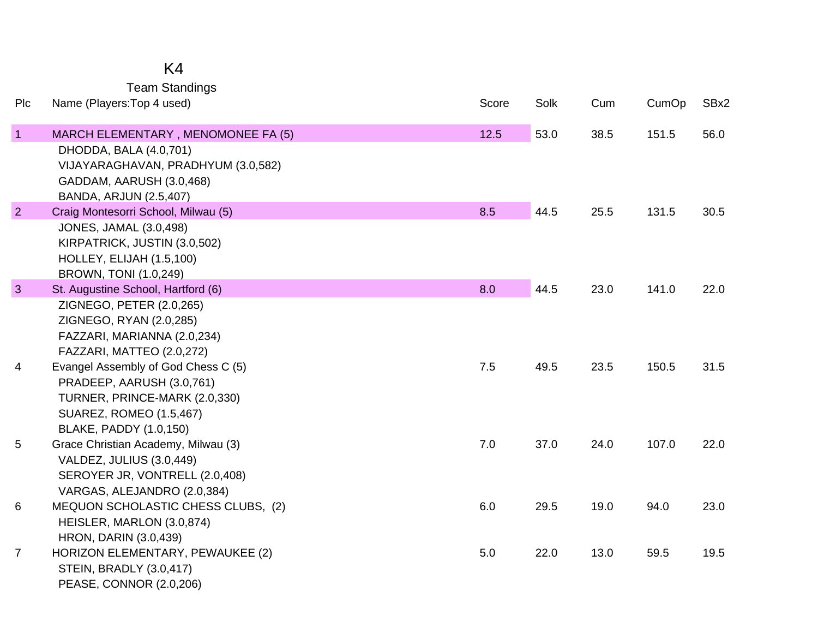## K4

Team Standings

| Plc            | Name (Players: Top 4 used)                                           | Score | Solk | Cum  | CumOp | SBx2 |
|----------------|----------------------------------------------------------------------|-------|------|------|-------|------|
| $\mathbf{1}$   | MARCH ELEMENTARY, MENOMONEE FA (5)<br>DHODDA, BALA (4.0,701)         | 12.5  | 53.0 | 38.5 | 151.5 | 56.0 |
|                | VIJAYARAGHAVAN, PRADHYUM (3.0,582)                                   |       |      |      |       |      |
|                | GADDAM, AARUSH (3.0,468)                                             |       |      |      |       |      |
| $\overline{2}$ | <b>BANDA, ARJUN (2.5,407)</b><br>Craig Montesorri School, Milwau (5) | 8.5   | 44.5 | 25.5 | 131.5 | 30.5 |
|                | <b>JONES, JAMAL (3.0,498)</b>                                        |       |      |      |       |      |
|                | KIRPATRICK, JUSTIN (3.0,502)                                         |       |      |      |       |      |
|                | HOLLEY, ELIJAH (1.5,100)                                             |       |      |      |       |      |
|                | BROWN, TONI (1.0,249)                                                |       |      |      |       |      |
| 3              | St. Augustine School, Hartford (6)                                   | 8.0   | 44.5 | 23.0 | 141.0 | 22.0 |
|                | ZIGNEGO, PETER (2.0,265)                                             |       |      |      |       |      |
|                | ZIGNEGO, RYAN (2.0,285)<br>FAZZARI, MARIANNA (2.0,234)               |       |      |      |       |      |
|                | FAZZARI, MATTEO (2.0,272)                                            |       |      |      |       |      |
| 4              | Evangel Assembly of God Chess C (5)                                  | 7.5   | 49.5 | 23.5 | 150.5 | 31.5 |
|                | PRADEEP, AARUSH (3.0,761)                                            |       |      |      |       |      |
|                | TURNER, PRINCE-MARK (2.0,330)                                        |       |      |      |       |      |
|                | <b>SUAREZ, ROMEO (1.5,467)</b>                                       |       |      |      |       |      |
|                | BLAKE, PADDY (1.0,150)                                               |       |      |      |       |      |
| 5              | Grace Christian Academy, Milwau (3)                                  | 7.0   | 37.0 | 24.0 | 107.0 | 22.0 |
|                | VALDEZ, JULIUS (3.0,449)                                             |       |      |      |       |      |
|                | SEROYER JR, VONTRELL (2.0,408)                                       |       |      |      |       |      |
|                | VARGAS, ALEJANDRO (2.0,384)                                          |       |      |      |       |      |
| 6              | MEQUON SCHOLASTIC CHESS CLUBS, (2)<br>HEISLER, MARLON (3.0,874)      | 6.0   | 29.5 | 19.0 | 94.0  | 23.0 |
|                | <b>HRON, DARIN (3.0,439)</b>                                         |       |      |      |       |      |
| $\overline{7}$ | HORIZON ELEMENTARY, PEWAUKEE (2)                                     | $5.0$ | 22.0 | 13.0 | 59.5  | 19.5 |
|                | <b>STEIN, BRADLY (3.0,417)</b>                                       |       |      |      |       |      |
|                | PEASE, CONNOR (2.0,206)                                              |       |      |      |       |      |
|                |                                                                      |       |      |      |       |      |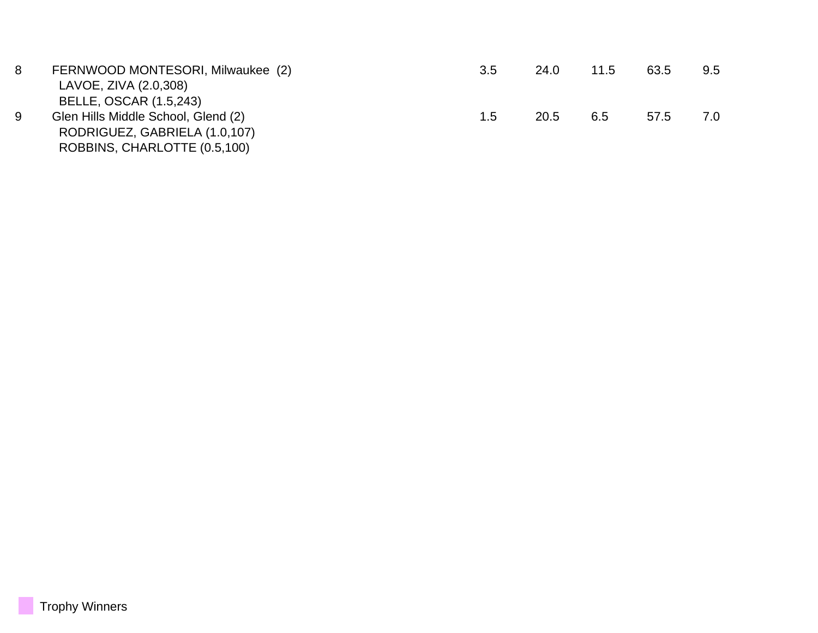| 8 | FERNWOOD MONTESORI, Milwaukee (2)<br>LAVOE, ZIVA (2.0,308)<br><b>BELLE, OSCAR (1.5,243)</b>          | 3.5 | 24.0 | 11.5 | 63.5 | 9.5 |
|---|------------------------------------------------------------------------------------------------------|-----|------|------|------|-----|
| 9 | Glen Hills Middle School, Glend (2)<br>RODRIGUEZ, GABRIELA (1.0,107)<br>ROBBINS, CHARLOTTE (0.5,100) | 1.5 | 20.5 | 6.5  | 57.5 | 7.0 |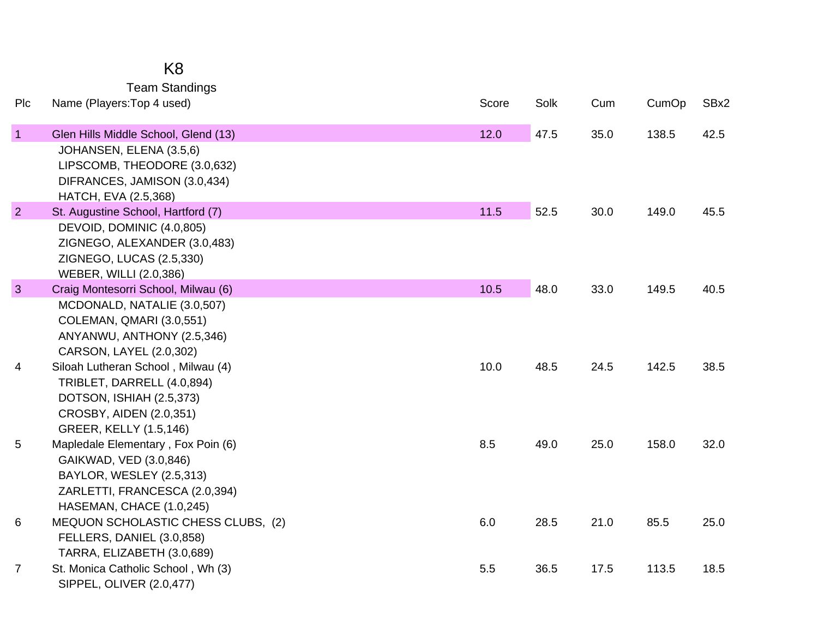|                | <b>Team Standings</b>                                                                                                                                  |       |      |      |       |      |
|----------------|--------------------------------------------------------------------------------------------------------------------------------------------------------|-------|------|------|-------|------|
| Plc            | Name (Players: Top 4 used)                                                                                                                             | Score | Solk | Cum  | CumOp | SBx2 |
| $\mathbf{1}$   | Glen Hills Middle School, Glend (13)                                                                                                                   | 12.0  | 47.5 | 35.0 | 138.5 | 42.5 |
|                | JOHANSEN, ELENA (3.5,6)<br>LIPSCOMB, THEODORE (3.0,632)<br>DIFRANCES, JAMISON (3.0,434)<br>HATCH, EVA (2.5,368)                                        |       |      |      |       |      |
| 2              | St. Augustine School, Hartford (7)                                                                                                                     | 11.5  | 52.5 | 30.0 | 149.0 | 45.5 |
|                | DEVOID, DOMINIC (4.0,805)<br>ZIGNEGO, ALEXANDER (3.0,483)<br>ZIGNEGO, LUCAS (2.5,330)<br>WEBER, WILLI (2.0,386)                                        |       |      |      |       |      |
| $\mathbf{3}$   | Craig Montesorri School, Milwau (6)                                                                                                                    | 10.5  | 48.0 | 33.0 | 149.5 | 40.5 |
| 4              | MCDONALD, NATALIE (3.0,507)<br>COLEMAN, QMARI (3.0,551)<br>ANYANWU, ANTHONY (2.5,346)<br>CARSON, LAYEL (2.0,302)<br>Siloah Lutheran School, Milwau (4) | 10.0  | 48.5 | 24.5 | 142.5 | 38.5 |
|                | TRIBLET, DARRELL (4.0,894)<br>DOTSON, ISHIAH (2.5,373)<br>CROSBY, AIDEN (2.0,351)<br>GREER, KELLY (1.5,146)                                            |       |      |      |       |      |
| 5              | Mapledale Elementary, Fox Poin (6)<br>GAIKWAD, VED (3.0,846)<br>BAYLOR, WESLEY (2.5,313)<br>ZARLETTI, FRANCESCA (2.0,394)<br>HASEMAN, CHACE (1.0,245)  | 8.5   | 49.0 | 25.0 | 158.0 | 32.0 |
| 6              | MEQUON SCHOLASTIC CHESS CLUBS, (2)<br>FELLERS, DANIEL (3.0,858)<br>TARRA, ELIZABETH (3.0,689)                                                          | 6.0   | 28.5 | 21.0 | 85.5  | 25.0 |
| $\overline{7}$ | St. Monica Catholic School, Wh (3)                                                                                                                     | 5.5   | 36.5 | 17.5 | 113.5 | 18.5 |
|                | SIPPEL, OLIVER (2.0,477)                                                                                                                               |       |      |      |       |      |

K8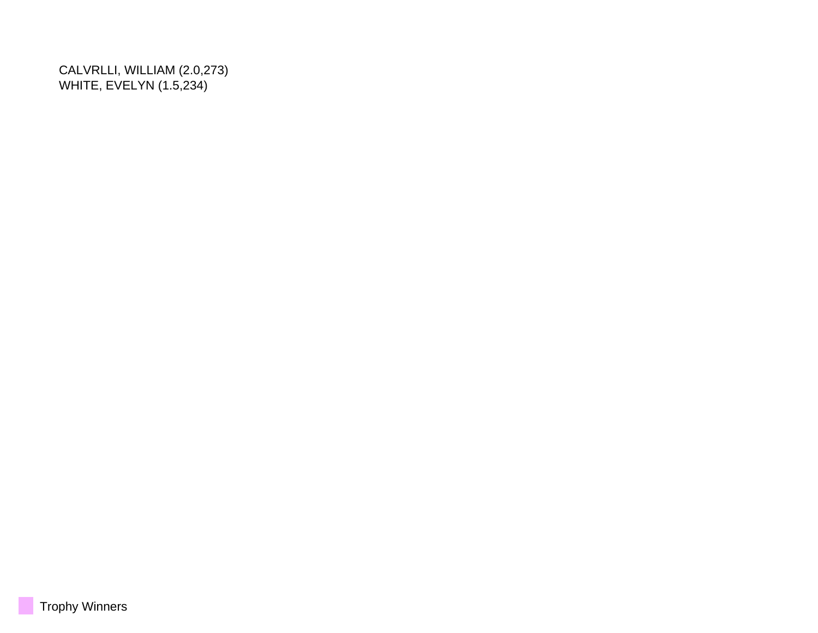CALVRLLI, WILLIAM (2.0,273) WHITE, EVELYN (1.5,234)